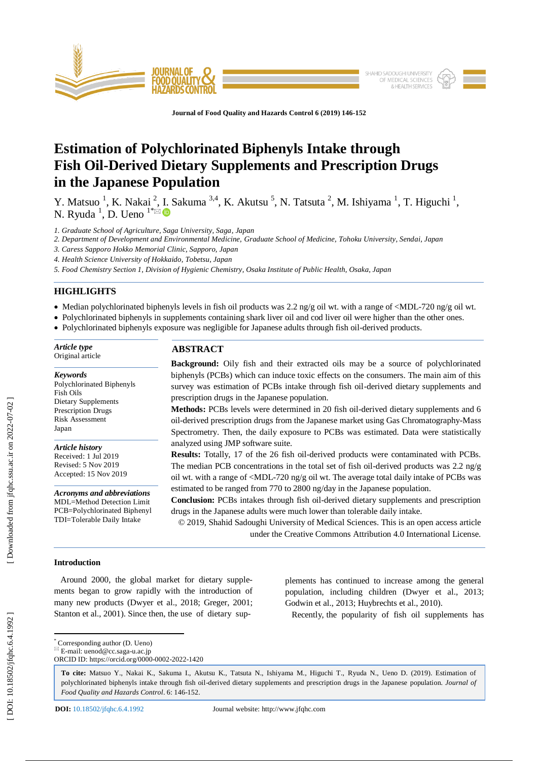

**Journal of Food Quality and Hazards Control 6 (201 9) 146 -152**

# **Estimation of Polychlorinated Biphenyls Intake through Fish Oil -Derived Dietary Supplements and Prescription Drugs in the Japanese Population**

Y. Matsuo<sup>1</sup>, K. Nakai<sup>2</sup>, I. Sakuma<sup>3,4</sup>, K. Akutsu<sup>5</sup>, N. Tatsuta<sup>2</sup>, M. Ishiyama<sup>1</sup>, T. Higuchi<sup>1</sup>, N. Ryuda<sup>1</sup>, D. Ueno<sup>1\*</sup>

*1. Graduate School of Agriculture, Saga University, Saga , Japan*

*2. Department of Development and Environmental Medicine, Graduate School of Medicine, Tohoku University, Sendai, Japan*

*3. Caress Sapporo Hokko Memorial Clinic, Sapporo, Japan*

*4. Health Science University of Hokkaido, Tobetsu, Japan*

*5. Food Chemistry Section 1, Division of Hygienic Chemistry, Osaka Institute of Public Health, Osaka, Japan*

# **HIGHLIGHTS**

• Median polychlorinated biphenyls levels in fish oil products was  $2.2$  ng/g oil wt. with a range of  $\langle \text{MD} \cdot 720 \text{ ng/g} \text{ oil wt.} \rangle$ 

Polychlorinated biphenyls in supplements containing shark liver oil and cod liver oil were higher than the other ones.

• Polychlorinated biphenyls exposure was negligible for Japanese adults through fish oil-derived products.

#### *Article type* Original article

#### *Keywords*

Polychlorinated Biphenyls Fish Oils Dietary Supplements Prescription Drugs Risk Assessment Japan

*Article history* Received: 1 Jul 2019 Revised: 5 Nov 2019 Accepted: 15 Nov 2019

*Acronyms and abbreviations* MDL=Method Detection Limit PCB=Polychlorinated Biphenyl TDI=Tolerable Daily Intake

# **ABSTRACT**

**Background:** Oily fish and their extracted oils may be a source of polychlorinated biphenyls (PCBs) which can induce toxic effects on the consumers. The main aim of this survey was estimation of PCBs intake through fish oil -derived dietary supplements and prescription drugs in the Japanese population.

**Methods:** PCBs levels were determined in 20 fish oil -derived dietary supplements and 6 oil -derived prescription drugs from the Japanese market using Gas Chromatography -Mass Spectrometry. Then, the daily exposure to PCBs was estimated. Data were statistically analyzed using JMP software suite.

**Results:** Totally, 17 of the 26 fish oil -derived products were contaminated with PCBs. The median PCB concentrations in the total set of fish oil -derived products was 2.2 ng/g oil wt. with a range of <MDL -720 ng/g oil wt. The average total daily intake of PCBs was estimated to be ranged from 770 to 2800 ng/day in the Japanese population.

**Conclusion:** PCBs intakes through fish oil -derived dietary supplements and prescription drugs in the Japanese adults were much lower than tolerable daily intake.

© 201 9, Shahid Sadoughi University of Medical Sciences. This is an open access article under the Creative Commons Attribution 4.0 International License.

# **Introduction**

 Around 2000, the global market for dietary supplements began to grow rapidly with the introduction of many new products (Dwyer et al., 2018; Greger, 2001; Stanton et al., 2001). Since then, the use of dietary sup-

Food Quality and Hazards Control. 6: 146-152.

ORCID ID: https://orcid.org/0000 -0002 -2022 -1420

**DOI:** 10.18502/jfqhc.6. 4.1992

 \* Corresponding author (D. Ueno)  $E$ -mail: uenod@cc.saga-u.ac.jp

plements has continued to increase among the general population, including children (Dwyer et al., 2013; Godwin et al., 2013; Huybrechts et al., 2010 ).

Recently, the popularity of fish oil supplements has

**To cite:** Matsuo Y., Nakai K., Sakuma I., Akutsu K., Tatsuta N., Ishiyama M., Higuchi T., Ryuda N., Ueno D. (201 9). Estimation of polychlorinated biphenyls intake through fish oil -derived dietary supplements and prescription drugs in the Japanese population. *Journal of*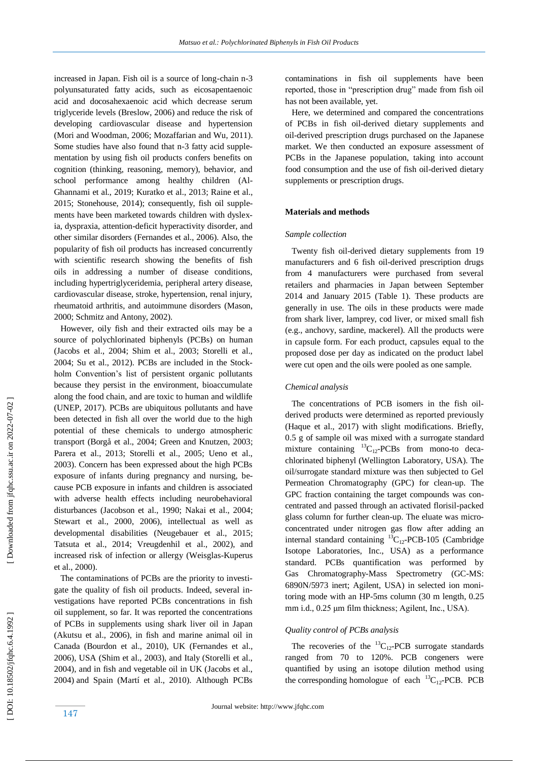increased in Japan. Fish oil is a source of long -chain n -3 polyunsaturated fatty acids, such as eicosapentaenoic acid and docosahexaenoic acid which decrease serum triglyceride levels (Breslow, 2006 ) and reduce the risk of developing cardiovascular disease and hypertension (Mori and Woodman, 2006; Mozaffarian and Wu, 2011). Some studies have also found that n -3 fatty acid supplementation by using fish oil products confers benefits on cognition (thinking, reasoning, memory), behavior, and school performance among healthy children (Al - Ghannami et al., 2019; Kuratko et al., 2013; Raine et al., 2015; Stonehouse, 2014 ); consequently, fish oil supplements have been marketed towards children with dyslexia, dyspraxia, attention-deficit hyperactivity disorder, and other similar disorders (Fernandes et al., 2006 ). Also, the popularity of fish oil products has increased concurrently with scientific research showing the benefits of fish oils in addressing a number of disease conditions, including hypertriglyceridemia, peripheral artery disease, cardiovascular disease, stroke, hypertension, renal injury, rheumatoid arthritis, and autoimmune disorders (Mason, 2000; Schmitz and Antony, 2002 ).

 However, oily fish and their extracted oils may be a source of polychlorinated biphenyls (PCBs) on human (Jacobs et al., 2004; Shim et al., 2003; Storelli et al., 2004; Su et al., 2012 ). PCBs are included in the Stockholm Convention's list of persistent organic pollutants because they persist in the environment, bioaccumulate along the food chain, and are toxic to human and wildlife (UNEP, 2017). PCBs are ubiquitous pollutants and have been detected in fish all over the world due to the high potential of these chemicals to undergo atmospheric transport (Borgå et al., 2004; Green and Knutzen, 2003; Parera et al., 2013; Storelli et al., 2005; Ueno et al., 2003 ). Concern has been expressed about the high PCBs exposure of infants during pregnancy and nursing, because PCB exposure in infants and children is associated with adverse health effects including neurobehavioral disturbances (Jacobson et al., 1990; Nakai et al., 2004; Stewart et al., 2000 , 2006 ), intellectual as well as developmental disabilities (Neugebauer et al., 2015; Tatsuta et al., 2014; Vreugdenhil et al., 2002 ), and increased risk of infection or allergy (Weisglas -Kuperus et al., 2000 ).

 The contaminations of PCBs are the priority to investigate the quality of fish oil products. Indeed, several investigations have reported PCBs concentrations in fish oil supplement, so far. It was reported the concentrations of PCBs in supplements using shark liver oil in Japan (Akutsu et al., 2006), in fish and marine animal oil in Canada (Bourdon et al., 2010), UK (Fernandes et al., 2006), USA (Shim et al., 2003), and Italy (Storelli et al., 2004), and in fish and vegetable oil in UK (Jacobs et al., 2004) and Spain (Martí et al., 2010 ). Although PCBs contaminations in fish oil supplements have been reported, those in "prescription drug" made from fish oil has not been available, yet.

 Here, we determined and compared the concentrations of PCBs in fish oil -derived dietary supplements and oil -derived prescription drugs purchased on the Japanese market. We then conducted an exposure assessment of PCBs in the Japanese population, taking into account food consumption and the use of fish oil -derived dietary supplements or prescription drugs.

## **Materials and method s**

#### *Sample collection*

 Twenty fish oil -derived dietary supplements from 19 manufacturers and 6 fish oil -derived prescription drugs from 4 manufacturers were purchased from several retailers and pharmacies in Japan between September 2014 and January 2015 (Table 1). These products are generally in use. The oils in these products were made from shark liver, lamprey, cod liver, or mixed small fish (e.g., anchovy, sardine, mackerel). All the products were in capsule form. For each product, capsules equal to the proposed dose per day as indicated on the product label were cut open and the oils were pooled as one sample.

## *Chemical analysis*

The concentrations of PCB isomers in the fish oilderived products were determined as reported previously (Haque et al., 2017) with slight modifications. Briefly, 0.5 g of sample oil was mixed with a surrogate standard mixture containing  ${}^{13}C_{12}$ -PCBs from mono-to decachlorinated biphenyl (Wellington Laboratory, USA). The oil/surrogate standard mixture was then subjected to Gel Permeation Chromatography (GPC) for clean -up. The GPC fraction containing the target compounds was concentrated and passed through an activated florisil-packed glass column for further clean -up. The eluate was micro concentrated under nitrogen gas flow after adding an internal standard containing  ${}^{13}C_{12}$ -PCB-105 (Cambridge Isotope Laboratories, Inc., USA) as a performance standard. PCBs quantification was performed by Gas Chromatography-Mass Spectrometry (GC-MS: 6890N/5973 inert; Agilent, USA) in selected ion monitoring mode with an HP-5ms column (30 m length, 0.25 mm i.d., 0.25 μm film thickness; Agilent, Inc., USA).

# *Quality control of PCBs analysis*

The recoveries of the  ${}^{13}C_{12}$ -PCB surrogate standards ranged from 70 to 120%. PCB congeners were quantified by using an isotope dilution method using the corresponding homologue of each  ${}^{13}C_{12}$ -PCB. PCB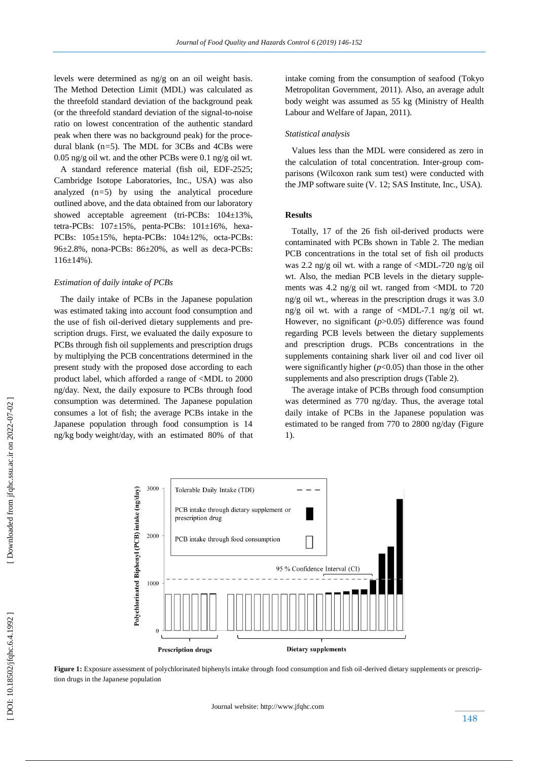levels were determined as ng/g on an oil weight basis. The Method Detection Limit (MDL) was calculated as the threefold standard deviation of the background peak (or the threefold standard deviation of the signal -to -noise ratio on lowest concentration of the authentic standard peak when there was no background peak) for the proce dural blank (n*=*5). The MDL for 3CBs and 4CBs were 0.05 ng/g oil wt. and the other PCBs were 0.1 ng/g oil wt.

 A standard reference material (fish oil, EDF -2525; Cambridge Isotope Laboratories, Inc., USA) was also analyzed ( n *=*5) by using the analytical procedure outlined above, and the data obtained from our laboratory showed acceptable agreement (tri -PCBs: 104±13%, tetra-PCBs:  $107\pm15\%$ , penta-PCBs:  $101\pm16\%$ , hexa-PCBs:  $105 \pm 15\%$ , hepta-PCBs:  $104 \pm 12\%$ , octa-PCBs: 96±2.8%, nona -PCBs: 86±20%, as well as deca -PCBs:  $116\pm14\%$ ).

#### *Estimation of daily intake of PCBs*

 The daily intake of PCBs in the Japanese population was estimated taking into account food consumption and the use of fish oil -derived dietary supplements and prescription drugs. First, we evaluated the daily exposure to PCBs through fish oil supplements and prescription drugs by multiplying the PCB concentrations determined in the present study with the proposed dose according to each product label, which afforded a range of <MDL to 2000 ng/day. Next, the daily exposure to PCBs through food consumption was determined. The Japanese population consumes a lot of fish; the average PCBs intake in the Japanese population through food consumption is 14 ng/kg body weight/day, with an estimated 80% of that intake coming from the consumption of seafood (Tokyo Metropolitan Government, 2011 ). Also, an average adult body weight was assumed as 55 kg (Ministry of Health Labour and Welfare of Japan, 2011 ) .

## *Statistical analysis*

 Values less than the MDL were considered as zero in the calculation of total concentration. Inter -group comparisons (Wilcoxon rank sum test) were conducted with the JMP software suite (V . 12; SAS Institute, Inc., USA).

## **Results**

Totally, 17 of the 26 fish oil -derived products were contaminated with PCBs shown in Table 2. The median PCB concentrations in the total set of fish oil products was 2.2 ng/g oil wt. with a range of <MDL -720 ng/g oil wt. Also, the median PCB levels in the dietary supplements was 4.2 ng/g oil wt. ranged from <MDL to 720 ng/g oil wt., whereas in the prescription drugs it was 3.0 ng/g oil wt. with a range of <MDL -7.1 ng/g oil wt. However, no significant ( $p > 0.05$ ) difference was found regarding PCB levels between the dietary supplements and prescription drugs. PCBs concentrations in the supplements containing shark liver oil and cod liver oil were significantly higher (*p*<0.05) than those in the other supplements and also prescription drugs (Table 2).

 The average intake of PCBs through food consumption was determined as 770 ng/day. Thus, the average total daily intake of PCBs in the Japanese population was estimated to be ranged from 770 to 2800 ng/day (Figure 1).



**Figure 1:** Exposure assessment of polychlorinated biphenyls intake through food consumption and fish oil -derived dietary supplements or prescription drugs in the Japanese population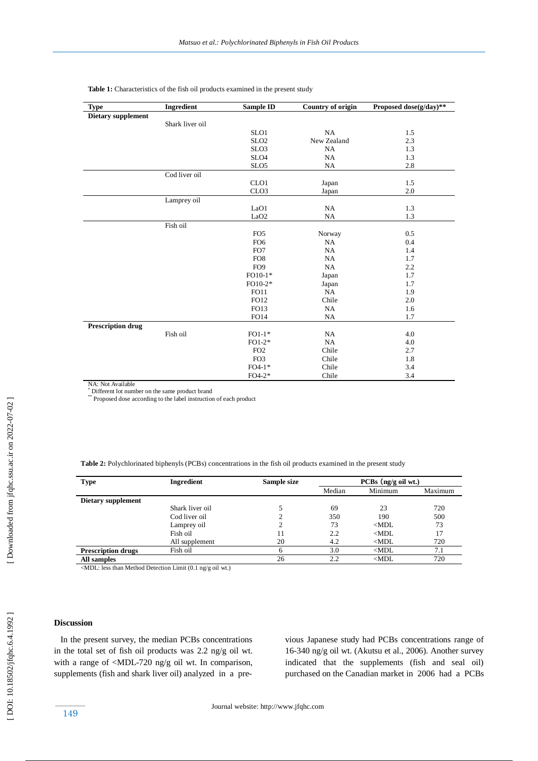| <b>Type</b>              | Ingredient      | <b>Sample ID</b> | <b>Country of origin</b> | Proposed dose(g/day)** |
|--------------------------|-----------------|------------------|--------------------------|------------------------|
| Dietary supplement       |                 |                  |                          |                        |
|                          | Shark liver oil |                  |                          |                        |
|                          |                 | SLO1             | NA                       | 1.5                    |
|                          |                 | SLO <sub>2</sub> | New Zealand              | 2.3                    |
|                          |                 | SLO <sub>3</sub> | NA                       | 1.3                    |
|                          |                 | SLO <sub>4</sub> | <b>NA</b>                | 1.3                    |
|                          |                 | SLO <sub>5</sub> | <b>NA</b>                | 2.8                    |
|                          | Cod liver oil   |                  |                          |                        |
|                          |                 | CLO <sub>1</sub> | Japan                    | 1.5                    |
|                          |                 | CLO <sub>3</sub> | Japan                    | 2.0                    |
|                          | Lamprey oil     |                  |                          |                        |
|                          |                 | LaO1             | <b>NA</b>                | 1.3                    |
|                          |                 | LaO <sub>2</sub> | <b>NA</b>                | 1.3                    |
|                          | Fish oil        |                  |                          |                        |
|                          |                 | FO <sub>5</sub>  | Norway                   | 0.5                    |
|                          |                 | FO <sub>6</sub>  | NA                       | 0.4                    |
|                          |                 | FO7              | <b>NA</b>                | 1.4                    |
|                          |                 | FO <sub>8</sub>  | NA                       | 1.7                    |
|                          |                 | FO <sub>9</sub>  | NA                       | 2.2                    |
|                          |                 | $FO10-1*$        | Japan                    | 1.7                    |
|                          |                 | FO10-2*          | Japan                    | 1.7                    |
|                          |                 | <b>FO11</b>      | NA                       | 1.9                    |
|                          |                 | FO12             | Chile                    | 2.0                    |
|                          |                 | FO13             | NA                       | 1.6                    |
|                          |                 | <b>FO14</b>      | <b>NA</b>                | 1.7                    |
| <b>Prescription drug</b> |                 |                  |                          |                        |
|                          | Fish oil        | $FO1-1*$         | <b>NA</b>                | 4.0                    |
|                          |                 | $FO1-2*$         | NA                       | 4.0                    |
|                          |                 | FO <sub>2</sub>  | Chile                    | 2.7                    |
|                          |                 | FO <sub>3</sub>  | Chile                    | 1.8                    |
|                          |                 | $FO4-1*$         | Chile                    | 3.4                    |
|                          |                 | $FO4-2*$         | Chile                    | 3.4                    |

Table 1: Characteristics of the fish oil products examined in the present study

NA: Not Available<br><sup>\*</sup> Different lot number on the same product brand

\*\* Proposed dose according to the label instruction of each product

**Table 2:** Polychlorinated biphenyls (PCBs) concentrations in the fish oil products examined in the present study

| <b>Type</b>               | Ingredient      | Sample size | $PCBs$ (ng/g oil wt.) |         |         |
|---------------------------|-----------------|-------------|-----------------------|---------|---------|
|                           |                 |             | Median                | Minimum | Maximum |
| Dietary supplement        |                 |             |                       |         |         |
|                           | Shark liver oil |             | 69                    | 23      | 720     |
|                           | Cod liver oil   |             | 350                   | 190     | 500     |
|                           | Lamprey oil     |             | 73                    | $<$ MDL | 73      |
|                           | Fish oil        | 11          | 2.2                   | $<$ MDL | 17      |
|                           | All supplement  | 20          | 4.2                   | $<$ MDL | 720     |
| <b>Prescription drugs</b> | Fish oil        | h           | 3.0                   | $<$ MDL | 7.1     |
| All samples               |                 | 26          | 2.2                   | $<$ MDL | 720     |

<MDL: less than Method Detection Limit (0.1 ng/g oil wt . )

# **Discussion**

 In the present survey, the median PCBs concentrations in the total set of fish oil products was 2.2 ng/g oil wt. with a range of <MDL-720 ng/g oil wt. In comparison, supplements (fish and shark liver oil) analyzed in a pre -

vious Japanese study had PCBs concentrations range of 16 -340 ng/g oil wt. (Akutsu et al., 2006 ). Another survey indicated that the supplements (fish and seal oil) purchased on the Canadian market in 2006 had a PCBs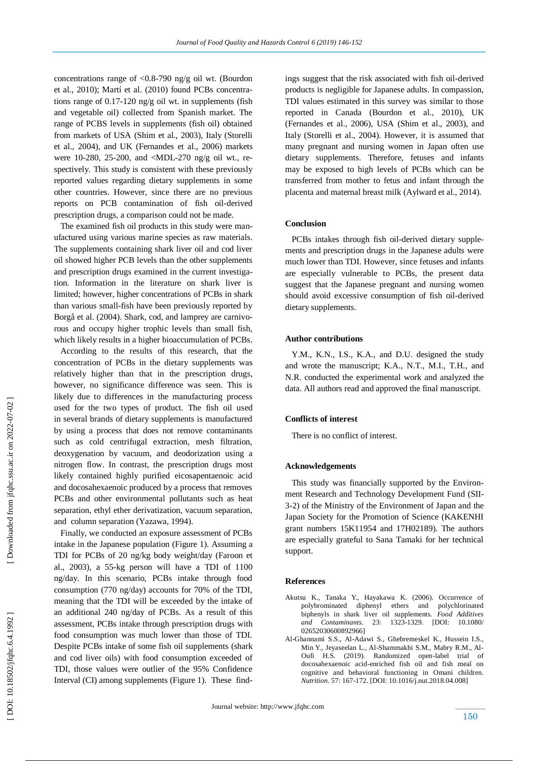concentrations range of <0.8 -790 ng/g oil wt. (Bourdon et al., 2010 ); Martí et al. (2010) found PCBs concentrations range of 0.17-120 ng/g oil wt. in supplements (fish and vegetable oil) collected from Spanish market. The range of PCBS levels in supplements (fish oil) obtained from markets of USA (Shim et al., 2003 ), Italy (Storelli et al., 2004 ), and UK (Fernandes et al., 2006 ) markets were 10 -280, 25 -200, and <MDL -270 ng/g oil wt ., respectively. This study is consistent with these previously reported values regarding dietary supplements in some other countries. However, since there are no previous reports on PCB contamination of fish oil -derived prescription drugs, a comparison could not be made.

 The examined fish oil products in this study were manufactured using various marine species as raw materials. The supplements containing shark liver oil and cod liver oil showed higher PCB levels than the other supplements and prescription drugs examined in the current investigation. Information in the literature on shark liver is limited; however, higher concentrations of PCBs in shark than various small -fish have been previously reported by Borgå et al. (2004 ). Shark, cod, and lamprey are carnivorous and occupy higher trophic levels than small fish, which likely results in a higher bioaccumulation of PCBs.

 According to the results of this research, that the concentration of PCBs in the dietary supplements was relatively higher than that in the prescription drugs, however, no significance difference was seen. This is likely due to differences in the manufacturing process used for the two types of product. The fish oil used in several brands of dietary supplements is manufactured by using a process that does not remove contaminants such as cold centrifugal extraction, mesh filtration, deoxygenation by vacuum, and deodorization using a nitrogen flow. In contrast, the prescription drugs most likely contained highly purified eicosapentaenoic acid and docosahexaenoic produced by a process that removes PCBs and other environmental pollutants such as heat separation, ethyl ether derivatization, vacuum separation, and column separation (Yazawa, 1994).

 Finally, we conducted an exposure assessment of PCBs intake in the Japanese population (Figure 1). Assuming a TDI for PCBs of 20 ng/kg body weight/day (Faroon et al., 2003 ), a 55 -kg person will have a TDI of 1100 ng/day. In this scenario, PCBs intake through food consumption (770 ng/day) accounts for 70% of the TDI, meaning that the TDI will be exceeded by the intake of an additional 240 ng/day of PCBs. As a result of this assessment, PCBs intake through prescription drugs with food consumption was much lower than those of TDI. Despite PCBs intake of some fish oil supplements (shark and cod liver oils) with food consumption exceeded of TDI, those values were outlier of the 95% Confidence Interval (CI) among supplements (Figure 1). These findings suggest that the risk associated with fish oil -derived products is negligible for Japanese adults. In compassion, TDI values estimated in this survey was similar to those reported in Canada (Bourdon et al., 2010), UK (Fernandes et al., 2006), USA (Shim et al., 2003), and Italy (Storelli et al., 2004 ). However, it is assumed that many pregnant and nursing women in Japan often use dietary supplements. Therefore, fetuses and infants may be exposed to high levels of PCBs which can be transferred from mother to fetus and infant through the placenta and maternal breast milk (Aylward et al., 2014 ).

#### **Conclusion**

 PCBs intakes through fish oil -derived dietary supplements and prescription drugs in the Japanese adults were much lower than TDI. However, since fetuses and infants are especially vulnerable to PCBs, the present data suggest that the Japanese pregnant and nursing women should avoid excessive consumption of fish oil -derived dietary supplements.

## **Author contributions**

 Y.M., K.N., I.S., K.A., and D.U. designed the study and wrote the manuscript; K.A., N.T., M.I., T.H., and N.R. conducted the experimental work and analyzed the data. All authors read and approved the final manuscript.

#### **Conflicts of interest**

There is no conflict of interest.

#### **Acknowledgements**

 This study was financially supported by the Environment Research and Technology Development Fund (SII- 3-2) of the Ministry of the Environment of Japan and the Japan Society for the Promotion of Science (KAKENHI grant numbers 15K11954 and 17H02189). The authors are especially grateful to Sana Tamaki for her technical support.

#### **Reference s**

- Akutsu K., Tanaka Y., Hayakawa K. (2006). Occurrence of polybrominated diphenyl ethers and polychlorinated biphenyls in shark liver oil supplements. *Food Additives and Contaminants.* 23: -1329. [DOI: 10.1080/ 02652030600892966]
- Al -Ghannami S.S., Al -Adawi S., Ghebremeskel K., Hussein I.S., Min Y., Jeyaseelan L., Al -Shammakhi S.M., Mabry R.M., Al - Oufi H.S. (2019). Randomized open-label trial of docosahexaenoic acid -enriched fish oil and fish meal on cognitive and behavioral functioning in Omani children. *Nutrition.* 57: 167 -172. [DOI: 10.1016/j.nut.2018.04.008]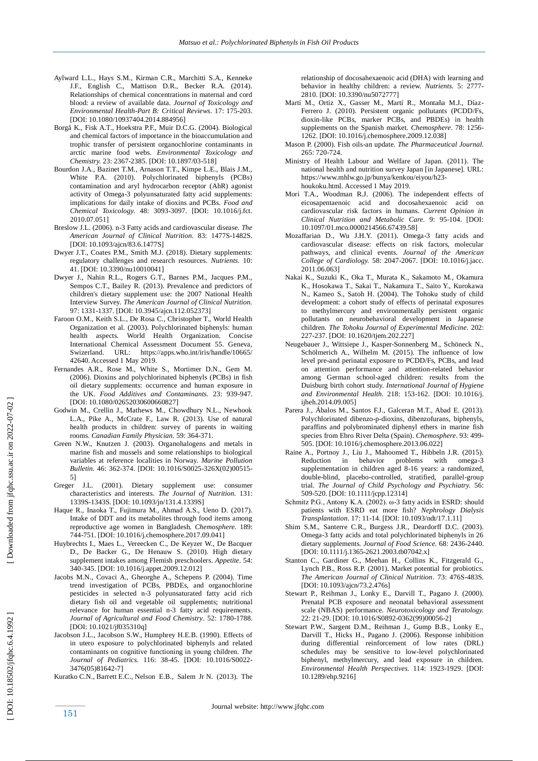- Aylward L.L., Hays S.M., Kirman C.R., Marchitti S.A., Kenneke J.F., English C., Mattison D.R., Becker R.A. (2014). Relationships of chemical concentrations in maternal and cord blood: a review of available data. *Journal of Toxicology and Environmental Health -Part B: Critical Reviews.* 17: 175 -203. [DOI: 10.1080/10937404.2014.884956]
- Borgå K., Fisk A.T., Hoekstra P.F., Muir D.C.G. (2004). Biological and chemical factors of importance in the bioaccumulation and trophic transfer of persistent organochlorine contaminants in arctic marine food webs. *Environmental Toxicology and Chemistry.* 23: 2367 -2385. [DOI: 10.1897/03 -518]
- Bourdon J.A., Bazinet T.M., Arnason T.T., Kimpe L.E., Blais J.M., White P.A. (2010). Polychlorinated biphenyls (PCBs) contamination and aryl hydrocarbon receptor (AhR) agonist activity of Omega -3 polyunsaturated fatty acid supplements: implications for daily intake of dioxins and PCBs. *Food and Chemical Toxicology.* 48: 3093 -3097. [DOI: 10.1016/j.fct. 2010.07.051]
- Breslow J.L. (2006). n -3 Fatty acids and cardiovascular disease. *The American Journal of Clinical Nutrition.* 83: 1477S -1482S. [DOI: 10.1093/ajcn/83.6.1477S]
- Dwyer J.T., Coates P.M., Smith M.J. (2018). Dietary supplements: regulatory challenges and research resources. *Nutrients*. 10: 41. [DOI: 10.3390/nu10010041]
- Dwyer J., Nahin R.L., Rogers G.T., Barnes P.M., Jacques P.M., Sempos C.T., Bailey R. (2013). Prevalence and predictors of children's dietary supplement use: the 2007 National Health Interview Survey. *The American Journal of Clinical Nutrition.* 97: 1331 -1337. [DOI: 10.3945/ajcn.112.052373]
- Faroon O.M., Keith S.L ., De Rosa C., Christopher T., World Health Organization et al. (2003). Polychlorinated biphenyls: human health aspects. World Health Organization. Concise International Chemical Assessment Document 55. Geneva, Swizerland. URL: https://apps.who.int/iris/handle/10665/ 42640. Accessed 1 May 2019.
- Fernandes A.R., Rose M., White S., Mortimer D.N., Gem M. (2006). Dioxins and polychlorinated biphenyls (PCBs) in fish oil dietary supplements: occurrence and human exposure in the UK. *Food Additives and Contaminants.* 23: 939 -947. [DOI: 10.1080/02652030600660827]
- Godwin M., Crellin J., Mathews M., Chowdhury N.L., Newhook L.A., Pike A., McCrate F., Law R. (2013). Use of natural health products in children: survey of parents in waiting rooms. *Canadian Family Physician.* 59: 364 -371.
- Green N.W., Knutzen J. (2003). Organohalogens and metals in marine fish and mussels and some relationships to biological variables at reference localities in Norway. *Marine Pollution*  Bulletin. 46: 362-374. [DOI: 10.1016/S0025-326X(02)00515-5]
- Greger J.L. (2001). Dietary supplement use: consumer characteristics and interests. *The Journal of Nutrition.* 131: 1339S -1343S. [DOI: 10.1093/jn/131.4.1339S]
- Haque R., Inaoka T., Fujimura M., Ahmad A.S., Ueno D. (2017). Intake of DDT and its metabolites through food items among reproductive age women in Bangladesh. *Chemosphere.* 189: 744 -751. [DOI: 10.1016/j.chemosphere.2017.09.041]
- Huybrechts I., Maes L., Vereecken C., De Keyzer W., De Bacquer D., De Backer G., De Henauw S. (2010). High dietary supplement intakes among Flemish preschoolers. *Appetite.* 54: 340 -345. [DOI: 10.1016/j.appet.2009.12.012]
- Jacobs M.N., Covaci A., Gheorghe A., Schepens P. (2004). Time trend investigation of PCBs, PBDEs, and organochlorine pesticides in selected n -3 polyunsaturated fatty acid rich dietary fish oil and vegetable oil supplements; nutritional relevance for human essential n -3 fatty acid requirements. *Journal of Agricultural and Food Chemistry*. 52: 1780 -1788. [DOI: 10.1021/jf035310q]
- Jacobson J.L., Jacobson S.W., Humphrey H.E.B. (1990). Effects of in utero exposure to polychlorinated biphenyls and related contaminants on cognitive functioning in young children. *The Journal of Pediatrics.* 116: 38 -45. [DOI: 10.1016/S0022 - 3476(05)81642 -7]
- Kuratko C.N., Barrett E.C., Nelson E.B., Salem Jr N. (2013). The

relationship of docosahexaenoic acid (DHA) with learning and behavior in healthy children: a review. *Nutrients.* 5: 2777 - 2810. [DOI: 10.3390/nu5072777]

- Martí M., Ortiz X., Gasser M., Martí R., Montaña M.J., Díaz Ferrero J. (2010). Persistent organic pollutants (PCDD/Fs, dioxin -like PCBs, marker PCBs, and PBDEs) in health supplements on the Spanish market. *Chemosphere*. 78: 1256 - 1262. [DOI: 10.1016/j.chemosphere.2009.12.038]
- Mason P. (2000). Fish oils -an update. *The Pharmaceutical Journal.* 265: 720 -724.
- Ministry of Health Labour and Welfare of Japan. (2011). The national health and nutrition survey Japan [in Japanese]. URL: https://www.mhlw.go.jp/bunya/kenkou/eiyou/h23 houkoku.html. Accessed 1 May 2019.
- Mori T.A., Woodman R.J. (2006). The independent effects of eicosapentaenoic acid and docosahexaenoic acid on cardiovascular risk factors in humans. *Current Opinion in Clinical Nutrition and Metabolic Care.* 9: 95 -104. [DOI: 10.1097/01.mco.0000214566.67439.58]
- Mozaffarian D., Wu J.H.Y. (2011). Omega -3 fatty acids and cardiovascular disease: effects on risk factors, molecular pathways, and clinical events. *Journal of the American College of Cardiology.* 58: 2047 - 2067. [DOI: 10.1016/j.jacc. 2011.06.063]
- Nakai K., Suzuki K., Oka T., Murata K., Sakamoto M., Okamura K., Hosokawa T., Sakai T., Nakamura T., Saito Y., Kurokawa N., Kameo S., Satoh H. (2004). The Tohoku study of child development: a cohort study of effects of perinatal exposures to methylmercury and environmentally persistent organic pollutants on neurobehavioral development in Japanese children. *The Tohoku Journal of Experimental Medicine.* 202: 227 -237. [DOI: 10.1620/tjem.202.227]
- Neugebauer J., Wittsiepe J., Kasper -Sonnenberg M., Schöneck N., Schölmerich A., Wilhelm M. (2015). The influence of low level pre -and perinatal exposure to PCDD/Fs, PCBs, and lead on attention performance and attention -related behavior among German school -aged children: results from the Duisburg birth cohort study. *International Journal of Hygiene and Environmental Health.* 218: 153 -162. [DOI: 10.1016/j. ijheh.2014.09.0051
- Parera J., Ábalos M., Santos F.J., Galceran M.T., Abad E. (2013). Polychlorinated dibenzo-p-dioxins, dibenzofurans, biphenyls, paraffins and polybrominated diphenyl ethers in marine fish species from Ebro River Delta (Spain). *Chemosphere*. 93: 499 - 505. [DOI: 10.1016/j.chemosphere.2013.06.022]
- Raine A., Portnoy J., Liu J., Mahoomed T., Hibbeln J.R. (2015). Reduction in behavior problems with omega-3 supplementation in children aged 8 -16 years: a randomized, double -blind, placebo -controlled, stratified, parallel -group trial. *The Journal of Child Psychology and Psychiatry.* 56: 509 -520. [DOI: 10.1111/jcpp.12314]
- Schmitz P.G., Antony K.A. (2002). ω-3 fatty acids in ESRD: should patients with ESRD eat more fish? *Nephrology Dialysis Transplantation*. 17: 11 -14. [DOI: 10.1093/ndt/17.1.11]
- Shim S.M., Santerre C.R., Burgess J.R., Deardorff D.C. (2003). Omega -3 fatty acids and total polychlorinated biphenyls in 26 dietary supplements. *Journal of Food Science.* 68: 2436 -2440. [DOI: 10.1111/j.1365-2621.2003.tb07042.x]
- Stanton C., Gardiner G., Meehan H., Collins K., Fitzgerald G., Lynch P.B., Ross R.P. (2001). Market potential for probiotics. *The American Journal of Clinical Nutrition*. 73: 476S -483S. [DOI: 10.1093/ajcn/73.2.476s]
- Stewart P., Reihman J., Lonky E., Darvill T., Pagano J. (2000). Prenatal PCB exposure and neonatal behavioral assessment scale (NBAS) performance. *Neurotoxicology and Teratology.* 22: 21 -29. [DOI: 10.1016/S0892 -0362(99)00056 -2]
- Stewart P.W., Sargent D.M., Reihman J., Gump B.B., Lonky E., Darvill T., Hicks H., Pagano J. (2006). Response inhibition during differential reinforcement of low rates (DRL) schedules may be sensitive to low -level polychlorinated biphenyl, methylmercury, and lead exposure in children. *Environmental Health Perspectives.* 114: 1923 -1929. [DOI: 10.1289/ehp.9216]

DOI: 10.18502/jfqhc.6.4.1992